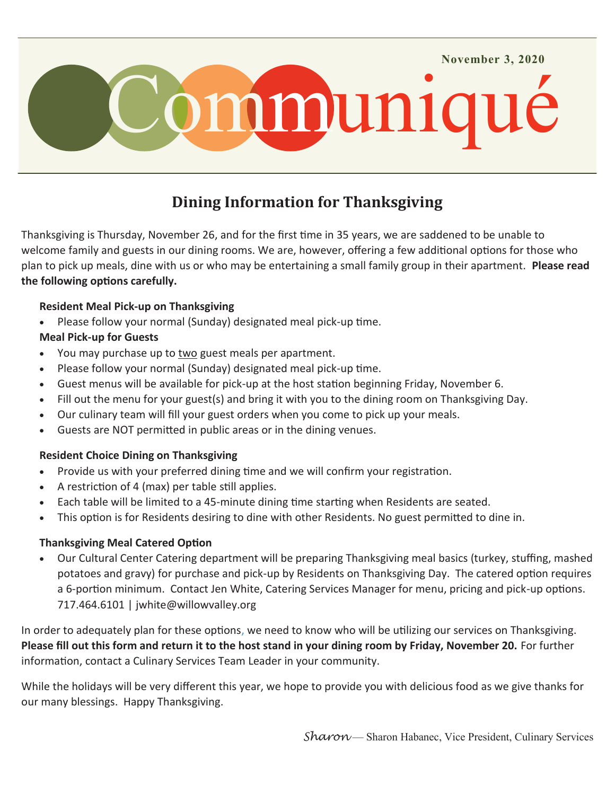

# **Dining Information for Thanksgiving**

Thanksgiving is Thursday, November 26, and for the first time in 35 years, we are saddened to be unable to welcome family and guests in our dining rooms. We are, however, offering a few additional options for those who plan to pick up meals, dine with us or who may be entertaining a small family group in their apartment. **Please read the following options carefully.**

## **Resident Meal Pick-up on Thanksgiving**

Please follow your normal (Sunday) designated meal pick-up time.

## **Meal Pick-up for Guests**

- You may purchase up to two guest meals per apartment.
- Please follow your normal (Sunday) designated meal pick-up time.
- Guest menus will be available for pick-up at the host station beginning Friday, November 6.
- Fill out the menu for your guest(s) and bring it with you to the dining room on Thanksgiving Day.
- Our culinary team will fill your guest orders when you come to pick up your meals.
- Guests are NOT permitted in public areas or in the dining venues.

## **Resident Choice Dining on Thanksgiving**

- Provide us with your preferred dining time and we will confirm your registration.
- A restriction of 4 (max) per table still applies.
- Each table will be limited to a 45-minute dining time starting when Residents are seated.
- This option is for Residents desiring to dine with other Residents. No guest permitted to dine in.

## **Thanksgiving Meal Catered Option**

 Our Cultural Center Catering department will be preparing Thanksgiving meal basics (turkey, stuffing, mashed potatoes and gravy) for purchase and pick-up by Residents on Thanksgiving Day. The catered option requires a 6-portion minimum. Contact Jen White, Catering Services Manager for menu, pricing and pick-up options. 717.464.6101 | [jwhite@willowvalley.org](mailto:jwhite@willowvalley.org) 

In order to adequately plan for these options, we need to know who will be utilizing our services on Thanksgiving. **Please fill out this form and return it to the host stand in your dining room by Friday, November 20.** For further information, contact a Culinary Services Team Leader in your community.

While the holidays will be very different this year, we hope to provide you with delicious food as we give thanks for our many blessings. Happy Thanksgiving.